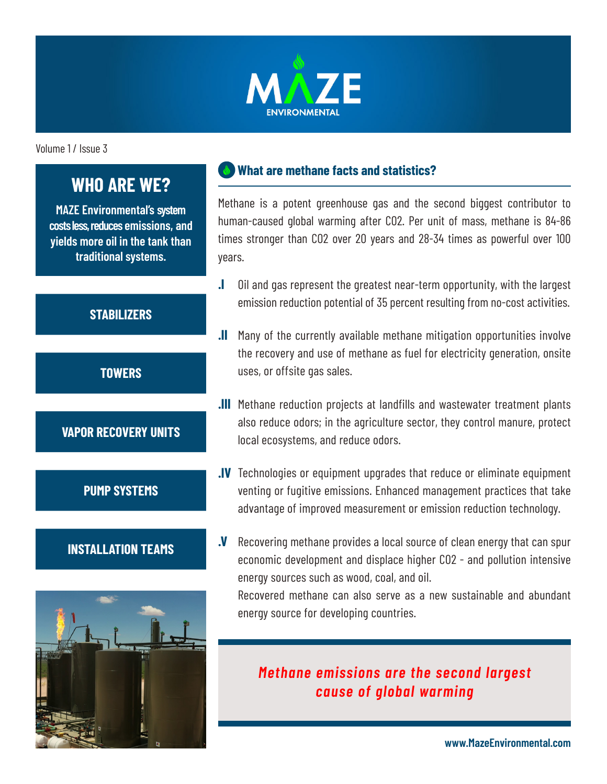

Volume 1 / Issue 3

# **WHO ARE WE?**

**MAZE Environmental's system costs less, reduces emissions, and yields more oil in the tank than traditional systems.**

## **STABILIZERS**

**TOWERS**

## **VAPOR RECOVERY UNITS**

**PUMP SYSTEMS**

#### **INSTALLATION TEAMS**



#### **What are methane facts and statistics?**

Methane is a potent greenhouse gas and the second biggest contributor to human-caused global warming after CO2. Per unit of mass, methane is 84-86 times stronger than CO2 over 20 years and 28-34 times as powerful over 100 years.

- **.I** Oil and gas represent the greatest near-term opportunity, with the largest emission reduction potential of 35 percent resulting from no-cost activities.
- **.II** Many of the currently available methane mitigation opportunities involve the recovery and use of methane as fuel for electricity generation, onsite uses, or offsite gas sales.
- **.III** Methane reduction projects at landfills and wastewater treatment plants also reduce odors; in the agriculture sector, they control manure, protect local ecosystems, and reduce odors.
- **.IV** Technologies or equipment upgrades that reduce or eliminate equipment venting or fugitive emissions. Enhanced management practices that take advantage of improved measurement or emission reduction technology.
- **.V** Recovering methane provides a local source of clean energy that can spur economic development and displace higher CO2 - and pollution intensive energy sources such as wood, coal, and oil. Recovered methane can also serve as a new sustainable and abundant

energy source for developing countries.

# *Methane emissions are the second largest cause of global warming*